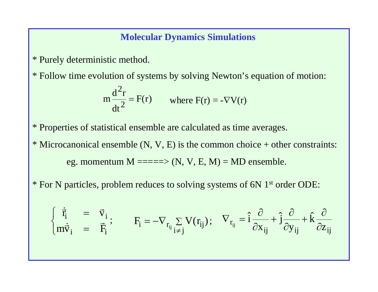#### **Molecular Dynamics Simulations**

- \* Purely deterministic method.
- \* Follow time evolution of systems by solving Newton's equation of motion:

$$
m\frac{d^2r}{dt^2} = F(r)
$$
 where  $F(r) = -\nabla V(r)$ 

\* Properties of statistical ensemble are calculated as time averages.

- \* Microcanonical ensemble  $(N, V, E)$  is the common choice + other constraints: eg. momentum  $M = == \Rightarrow (N, V, E, M) = MD$  ensemble.
- \* For N particles, problem reduces to solving systems of 6N 1st order ODE:

$$
\left\{ \begin{array}{ccc} \dot{\vec{r}}_i &= \vec{v}_i \\ m \dot{\vec{v}}_i &= \vec{F}_i \end{array} \right. ; \qquad F_i = - \nabla_{r_{ij}} \sum_{i \neq j} V(r_{ij}) \, ; \quad \nabla_{r_{ij}} = \hat{i} \frac{\partial}{\partial x_{ij}} + \hat{j} \frac{\partial}{\partial y_{ij}} + \hat{k} \frac{\partial}{\partial z_{ij}}
$$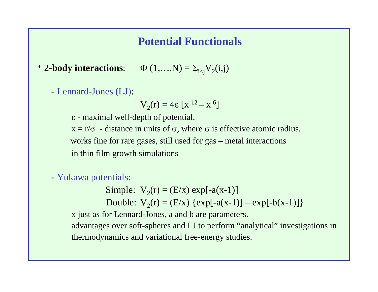## **Potential Functionals**

\* **2-body interactions:**  $\Phi(1,...,N) = \sum_{i \leq j} V_2(i,j)$ 

- Lennard-Jones (LJ):

$$
V_2(r) = 4\epsilon [x^{-12} - x^{-6}]
$$

- maximal well-depth of potential.

 $x = r/\sigma$  - distance in units of  $\sigma$ , where  $\sigma$  is effective atomic radius. works fine for rare gases, still used for gas – metal interactions in thin film growth simulations

- Yukawa potentials:

Simple:  $V_2(r) = (E/x) \exp[-a(x-1)]$ Double:  $V_2(r) = (E/x) \{ exp[-a(x-1)] - exp[-b(x-1)] \}$ 

x just as for Lennard-Jones, a and b are parameters.

advantages over soft-spheres and LJ to perform "analytical" investigations in thermodynamics and variational free-energy studies.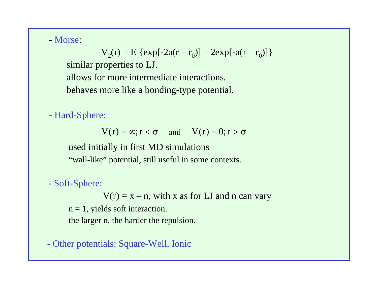- Morse:

 $V_2(r) = E \{ exp[-2a(r - r_0)] - 2exp[-a(r - r_0)] \}$ similar properties to LJ. allows for more intermediate interactions. behaves more like a bonding-type potential.

- Hard-Sphere:

 $V(r) = \infty; r < \sigma$  and  $V(r) = 0; r > \sigma$ 

used initially in first MD simulations "wall-like" potential, still useful in some contexts.

- Soft-Sphere:

 $V(r) = x - n$ , with x as for LJ and n can vary  $n = 1$ , yields soft interaction. the larger n, the harder the repulsion.

- Other potentials: Square-Well, Ionic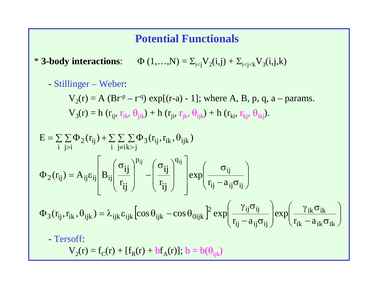### **Potential Functionals**

\* **3-body interactions:**  $\Phi(1,...,N) = \sum_{i \leq j} V_2(i,j) + \sum_{i \leq j \leq k} V_3(i,j,k)$ 

- Stillinger – Weber:

 $V_2(r) = A (Br^p - r^q) \exp[(r-a) - 1]$ ; where A, B, p, q, a – params.  $V_3(r) = h(r_{ij}, r_{ik}, \theta_{jik}) + h(r_{ji}, r_{ik}, \theta_{ijk}) + h(r_{ki}, r_{ki}, \theta_{ik})$ .

$$
E = \sum_{i} \sum_{j>i} \Phi_{2}(r_{ij}) + \sum_{i} \sum_{j\neq i} \sum_{k>j} \Phi_{3}(r_{ij}, r_{ik}, \theta_{ijk})
$$
  

$$
\Phi_{2}(r_{ij}) = A_{ij}\epsilon_{ij} \left[ B_{ij} \left( \frac{\sigma_{ij}}{r_{ij}} \right)^{p_{ij}} - \left( \frac{\sigma_{ij}}{r_{ij}} \right)^{q_{ij}} \right] \exp\left( \frac{\sigma_{ij}}{r_{ij} - a_{ij}\sigma_{ij}} \right)
$$
  

$$
\Phi_{3}(r_{ij}, r_{ik}, \theta_{ijk}) = \lambda_{ijk}\epsilon_{ijk} \left[ \cos \theta_{ijk} - \cos \theta_{0ijk} \right]^{2} \exp\left( \frac{\gamma_{ij}\sigma_{ij}}{r_{ij} - a_{ij}\sigma_{ij}} \right) \exp\left( \frac{\gamma_{ik}\sigma_{ik}}{r_{ik} - a_{ik}\sigma_{ik}} \right)
$$

- Tersoff:

 $V_2(r) = f_C(r) + [f_R(r) + bf_A(r)]; b = b(\theta_{ijk})$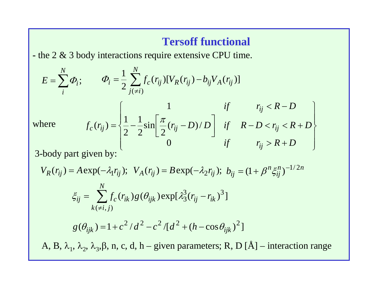## **Tersoff functional**

**-** the 2 & 3 body interactions require extensive CPU time.

$$
E = \sum_{i}^{N} \Phi_{i}; \qquad \Phi_{i} = \frac{1}{2} \sum_{j(\neq i)}^{N} f_{c}(r_{ij}) [V_{R}(r_{ij}) - b_{ij} V_{A}(r_{ij})]
$$
  
here
$$
f_{c}(r_{ij}) = \begin{cases} 1 & \text{if} & r_{ij} < R - D \\ \frac{1}{2} - \frac{1}{2} \sin \left[ \frac{\pi}{2} (r_{ij} - D) / D \right] & \text{if} & R - D < r_{ij} < R + D \\ 0 & \text{if} & r_{ij} > R + D \end{cases}
$$

W.

3-body part given by:

$$
V_R(r_{ij}) = A \exp(-\lambda_1 r_{ij}); \quad V_A(r_{ij}) = B \exp(-\lambda_2 r_{ij}); \quad b_{ij} = (1 + \beta^n \xi_{ij}^n)^{-1/2n}
$$

$$
\xi_{ij} = \sum_{k(\neq i,j)}^N f_c(r_{ik}) g(\theta_{ijk}) \exp[\lambda_3^3 (r_{ij} - r_{ik})^3]
$$

$$
g(\theta_{ijk}) = 1 + c^2 / d^2 - c^2 / [d^2 + (h - \cos \theta_{ijk})^2]
$$
  
A, B,  $\lambda_1$ ,  $\lambda_2$ ,  $\lambda_3$ ,  $\beta$ , n, c, d, h – given parameters; R, D [Å] – interaction range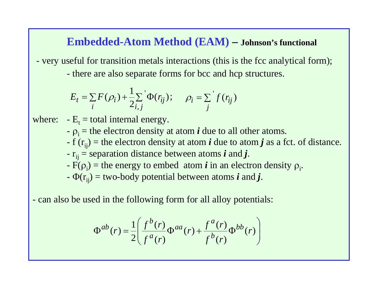### **Embedded-Atom Method (EAM) – Johnson's functional**

- very useful for transition metals interactions (this is the fcc analytical form);
	- there are also separate forms for bcc and hcp structures.

$$
E_t = \sum_i F(\rho_i) + \frac{1}{2} \sum_{i,j} \Phi(r_{ij}); \quad \rho_i = \sum_j f(r_{ij})
$$

- where:  $E_t =$  total internal energy.
	- $\sim \rho_i$  = the electron density at atom *i* due to all other atoms.
	- f ( rij ) = the electron density at atom *i* due to atom *j* as a fct. of distance.
	- $r_{ij}$  = separation distance between atoms  $\bm{i}$  and  $\bm{j}$ .
	- $-F(\rho_i)$  = the energy to embed atom *i* in an electron density  $\rho_i$ .
	- $\Phi(\mathbf{r}_{ij})$  = two-body potential between atoms  $\boldsymbol{i}$  and  $\boldsymbol{j}$ .

- can also be used in the following form for all alloy potentials:

$$
\Phi^{ab}(r) = \frac{1}{2} \left( \frac{f^b(r)}{f^a(r)} \Phi^{aa}(r) + \frac{f^a(r)}{f^b(r)} \Phi^{bb}(r) \right)
$$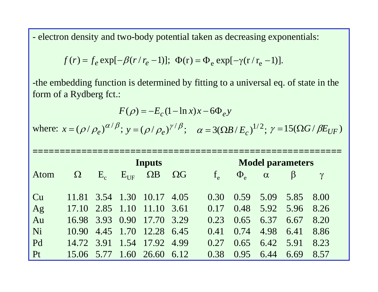- electron density and two-body potential taken as decreasing exponentials:

$$
f(r) = f_e \exp[-\beta(r/r_e - 1)]; \Phi(r) = \Phi_e \exp[-\gamma(r/r_e - 1)].
$$

-the embedding function is determined by fitting to a universal eq. of state in the form of a Rydberg fct.:

$$
F(\rho) = -E_c (1 - \ln x)x - 6\Phi_e y
$$

where:  $x = (\rho / \rho_e)^{\alpha/\beta}$ ;  $y = (\rho / \rho_e)^{\gamma/\beta}$ ;  $\alpha = 3(\Omega B / E_c)^{1/2}$ ;  $\gamma = 15(\Omega G / \beta E_{UF})$ 

|      |          |                      |                  | Inputs                     | <b>Model parameters</b> |  |       |                |                  |         |          |  |
|------|----------|----------------------|------------------|----------------------------|-------------------------|--|-------|----------------|------------------|---------|----------|--|
| Atom | $\Omega$ | $\mathbf{E}_{\rm c}$ | $\rm E_{\rm UF}$ | $\Omega$ B                 | $\Omega G$              |  | $f_e$ | $\Phi_{\rm e}$ | $\alpha$         | $\beta$ | $\gamma$ |  |
|      |          |                      |                  |                            |                         |  |       |                |                  |         |          |  |
| Cu   |          |                      |                  | 11.81 3.54 1.30 10.17      | 4.05                    |  | 0.30  |                | $0.59$ 5.09 5.85 |         | 8.00     |  |
| Ag   |          |                      |                  | 17.10 2.85 1.10 11.10      | 3.61                    |  | 0.17  | 0.48           | 5.92             | 5.96    | 8.26     |  |
| Au   |          |                      |                  | 16.98 3.93 0.90 17.70      | 3.29                    |  | 0.23  | 0.65           | 6.37             | 6.67    | 8.20     |  |
| Ni   |          |                      |                  | 10.90 4.45 1.70 12.28 6.45 |                         |  | 0.41  | 0.74           | 4.98             | 6.41    | 8.86     |  |
| Pd   |          |                      |                  | 14.72 3.91 1.54 17.92      | 4.99                    |  | 0.27  | 0.65           | 6.42             | 5.91    | 8.23     |  |
| Pt   |          |                      |                  | 15.06 5.77 1.60 26.60      | 6.12                    |  | 0.38  | 0.95           | 6.44             | 6.69    | 8.57     |  |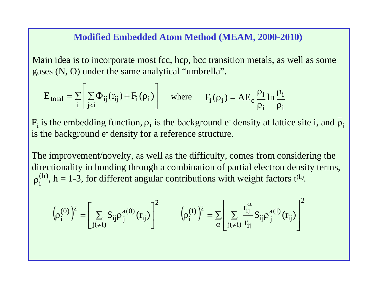#### **Modified Embedded Atom Method (MEAM, 2000-2010)**

Main idea is to incorporate most fcc, hcp, bcc transition metals, as well as some gases (N, O) under the same analytical "umbrella".

$$
E_{total} = \sum_{i} \left[ \sum_{j < i} \Phi_{ij}(r_{ij}) + F_i(\rho_i) \right] \quad \text{where} \quad F_i(\rho_i) = AE_c \frac{\rho_i}{\rho_i} \ln \frac{\rho_i}{\rho_i}
$$

 $\rm F_i$  is the embedding function,  $\rm \rho_i$  is the background e<sup>-</sup> density at lattice site i, and  $\rm \rho_i$ is the background e-density for a reference structure.

The improvement/novelty, as well as the difficulty, comes from considering the directionality in bonding through a combination of partial electron density terms,  $\rho_i^{(h)}$ , h = 1-3, for different angular contributions with weight factors t<sup>(h)</sup>.

$$
\left(\!\rho_i^{(0)}\right)^{\!2}=\!\!\left[\sum_{j(\neq i)}S_{ij}\rho_j^{a(0)}(r_{ij})\right]^{\!2}\qquad \left(\!\rho_i^{(1)}\right)^{\!2}=\!\sum_{\alpha}\!\left[\sum_{j(\neq i)}\frac{r_{ij}^{\alpha}}{r_{ij}}S_{ij}\rho_j^{a(1)}(r_{ij})\right]^{\!2}
$$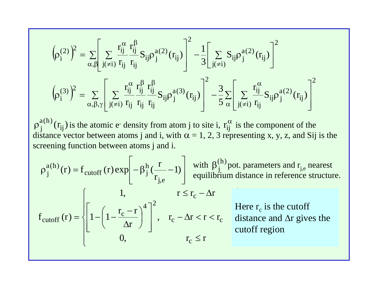$$
\begin{aligned} &\left(\!\rho_i^{(2)}\right)^{\!2}=\sum\limits_{\alpha,\beta}\!\!\left[\sum\limits_{j(\neq i)}\!\frac{r_{ij}^\alpha}{r_{ij}}\frac{r_{ij}^\beta}{r_{ij}}S_{ij}\rho_j^{a(2)}(r_{ij})\right]^2\!-\!\frac{1}{3}\!\!\left[\sum\limits_{j(\neq i)}\!\!S_{ij}\rho_j^{a(2)}(r_{ij})\right]^2\\ &\left(\!\rho_i^{(3)}\right)^{\!2}=\sum\limits_{\alpha,\beta,\gamma}\!\left[\sum\limits_{j(\neq i)}\!\frac{r_{ij}^\alpha}{r_{ij}}\frac{r_{ij}^\beta}{r_{ij}}\frac{r_{ij}^\beta}{r_{ij}}S_{ij}\rho_j^{a(3)}(r_{ij})\right]^2\!-\!\frac{3}{5}\sum\limits_{\alpha}\!\left[\sum\limits_{j(\neq i)}\!\frac{r_{ij}^\alpha}{r_{ij}}S_{ij}\rho_j^{a(2)}(r_{ij})\right]^2\end{aligned}
$$

 $\rho_j^{a(h)}(r_{ij})$  is the atomic e<sup>-</sup> density from atom j to site i,  $r_{ij}^{\alpha}$  is the component of the distance vector between atoms j and i, with  $\alpha = 1, 2, 3$  representing x, y, z, and Sij is the screening function between atoms j and i.  $\alpha$ 

$$
\rho_j^{a(h)}(r) = f_{cutoff}(r) \exp\left[-\beta_j^h(\frac{r}{r_{j,e}} - 1)\right] \text{ with } \beta_j^{(h)} \text{pot. parameters and } r_{j,e} \text{ nearest equilibrium distance in reference structure.}
$$
\n
$$
f_{cutoff}(r) = \begin{cases} 1, & r \le r_c - \Delta r \\ 1 - \left(1 - \frac{r_c - r}{\Delta r}\right)^4 \end{cases}, & r_c - \Delta r & \text{Here } r_c \text{ is the cutoff} \\ \text{distance and } \Delta r \text{ gives the cutoff region} \\ 0, & r_c \le r \end{cases}
$$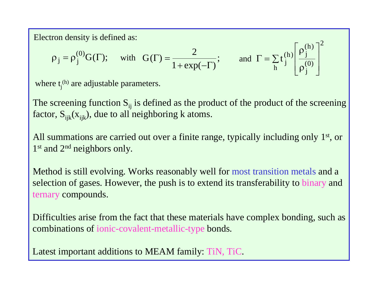Electron density is defined as:

$$
\rho_j = \rho_j^{(0)} G(\Gamma);
$$
 with  $G(\Gamma) = \frac{2}{1 + \exp(-\Gamma)}$ ; and  $\Gamma = \sum_h t_j^{(h)} \left[ \frac{\rho_j^{(h)}}{\rho_j^{(0)}} \right]^2$ 

where  $t_i^{(h)}$  are adjustable parameters.

The screening function  $S_{ii}$  is defined as the product of the product of the screening factor,  $S_{ijk}(x_{ijk})$ , due to all neighboring k atoms.

All summations are carried out over a finite range, typically including only 1<sup>st</sup>, or 1<sup>st</sup> and 2<sup>nd</sup> neighbors only.

Method is still evolving. Works reasonably well for most transition metals and a selection of gases. However, the push is to extend its transferability to binary and ternary compounds.

Difficulties arise from the fact that these materials have complex bonding, such as combinations of ionic-covalent-metallic-type bonds.

Latest important additions to MEAM family: TiN, TiC.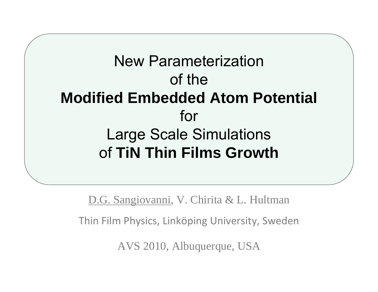# New Parameterization of the **Modified Embedded Atom Potential**  for Large Scale Simulations of **TiN Thin Films Growth**

D.G. Sangiovanni, V. Chirita & L. Hultman Thin Film Physics, Linköping University, Sweden

AVS 2010, Albuquerque, USA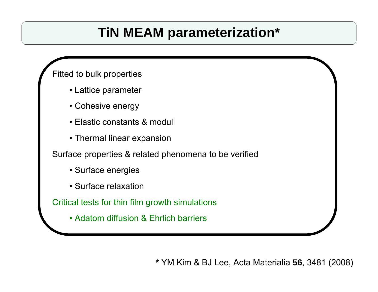# **TiN MEAM parameterization\***

### Fitted to bulk properties

- Lattice parameter
- Cohesive energy
- Elastic constants & moduli
- Thermal linear expansion

Surface properties & related phenomena to be verified

- Surface energies
- Surface relaxation

Critical tests for thin film growth simulations

• Adatom diffusion & Ehrlich barriers

**\*** YM Kim & BJ Lee, Acta Materialia **56**, 3481 (2008)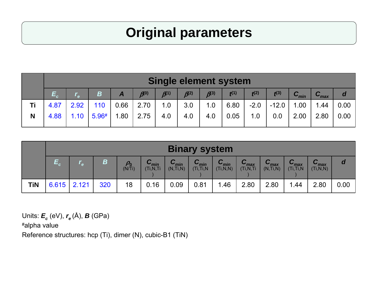# **Original parameters**

|    |      | <b>Single element system</b> |       |      |               |                        |                     |               |      |        |         |           |                  |      |
|----|------|------------------------------|-------|------|---------------|------------------------|---------------------|---------------|------|--------|---------|-----------|------------------|------|
|    |      |                              | B     |      | $\beta^{(0)}$ | $\beta$ <sup>(1)</sup> | $\mathcal{B}^{(2)}$ | $\beta^{(3)}$ | f(1) | f(2)   | f(3)    | $C_{min}$ | $C_{\text{max}}$ |      |
| Τi | 4.87 | 2.92                         | 110   | 0.66 | 2.70          | 1.0                    | 3.0                 | 1.0           | 6.80 | $-2.0$ | $-12.0$ | 1.00      | 1.44             | 0.00 |
| N  | 4.88 | 1.10 <sub>1</sub>            | 5.96# | 1.80 | 2.75          | 4.0                    | 4.0                 | 4.0           | 0.05 | 1.0    | 0.0     | 2.00      | 2.80             | 0.00 |
|    |      |                              |       |      |               |                        |                     |               |      |        |         |           |                  |      |

|     | <b>Binary system</b>                                                                                                                                                                                                                                                                                                                                                                                        |  |     |    |      |      |      |      |      |      |      |      |      |
|-----|-------------------------------------------------------------------------------------------------------------------------------------------------------------------------------------------------------------------------------------------------------------------------------------------------------------------------------------------------------------------------------------------------------------|--|-----|----|------|------|------|------|------|------|------|------|------|
|     | $\sqrt{ }$<br>$\sim$<br>B<br>a<br>$\rho_{\scriptstyle 0}^{}$<br>$\mathbf{C}_{max}$<br>$V_{min}$<br>$\mathbf{v}_{\text{min}}$<br>$\mathbf{v}_{\text{min}}$<br>$V_{\text{max}}$<br>$\blacktriangledown_{min}$<br>$\mathbf{v}_{\text{max}}$<br>$\blacktriangledown_{\text{max}}$<br>(Ti, N, N)<br>(Ti, N, Ti)<br>(Ti, N, N)<br>(Ti, Ti, N)<br>(N, Ti, N)<br>(Ti, Ti, N)<br>(Ti, N, Ti)<br>(N/Ti)<br>(N, Ti, N) |  |     |    |      |      |      |      |      |      |      |      |      |
| TiN | $6.615$   2.121                                                                                                                                                                                                                                                                                                                                                                                             |  | 320 | 18 | 0.16 | 0.09 | 0.81 | 1.46 | 2.80 | 2.80 | 1.44 | 2.80 | 0.00 |

Units: *Ec* (eV), *re* (Å), *B* (GPa)

#alpha value

Reference structures: hcp (Ti), dimer (N), cubic-B1 (TiN)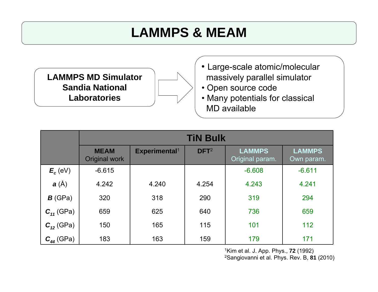# **LAMMPS & MEAM**

**LAMMPS MD SimulatorSandia National Laboratories**



- Open source code
- Many potentials for classical MD available

|                          |                              |                           | <b>TiN Bulk</b>  |                                  |                             |
|--------------------------|------------------------------|---------------------------|------------------|----------------------------------|-----------------------------|
|                          | <b>MEAM</b><br>Original work | Experimental <sup>1</sup> | DFT <sup>2</sup> | <b>LAMMPS</b><br>Original param. | <b>LAMMPS</b><br>Own param. |
| $E_c$ (eV)               | $-6.615$                     |                           |                  | $-6.608$                         | $-6.611$                    |
| $\mathbf{a}(\mathbf{A})$ | 4.242                        | 4.240                     | 4.254            | 4.243                            | 4.241                       |
| $\bm{B}$ (GPa)           | 320                          | 318                       | 290              | 319                              | 294                         |
| $C_{11}$ (GPa)           | 659                          | 625                       | 640              | 736                              | 659                         |
| $C_{12}$ (GPa)           | 150                          | 165                       | 115              | 101                              | 112                         |
| $C_{44}$ (GPa)           | 183                          | 163                       | 159              | 179                              | 171                         |

1Kim et al. J. App. Phys., **72** (1992)

2Sangiovanni et al. Phys. Rev. B, **81** (2010)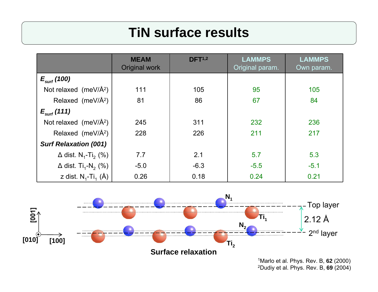# **TiN surface results**

|                                                    | <b>MEAM</b><br><b>Original work</b> | DFT <sup>1,2</sup> | <b>LAMMPS</b><br>Original param. | <b>LAMMPS</b><br>Own param. |
|----------------------------------------------------|-------------------------------------|--------------------|----------------------------------|-----------------------------|
| $E_{\text{surf}}$ (100)                            |                                     |                    |                                  |                             |
| Not relaxed (meV/ $\AA^2$ )                        | 111                                 | 105                | 95                               | 105                         |
| Relaxed (meV/Å <sup>2</sup> )                      | 81                                  | 86                 | 67                               | 84                          |
| $E_{\text{surf}}(111)$                             |                                     |                    |                                  |                             |
| Not relaxed (meV/ $\AA^2$ )                        | 245                                 | 311                | 232                              | 236                         |
| Relaxed (meV/Å <sup>2</sup> )                      | 228                                 | 226                | 211                              | 217                         |
| <b>Surf Relaxation (001)</b>                       |                                     |                    |                                  |                             |
| $\Delta$ dist. N <sub>1</sub> -Ti <sub>2</sub> (%) | 7.7                                 | 2.1                | 5.7                              | 5.3                         |
| $\Delta$ dist. Ti <sub>1</sub> -N <sub>2</sub> (%) | $-5.0$                              | $-6.3$             | $-5.5$                           | $-5.1$                      |
| z dist. $N_1$ -Ti <sub>1</sub> (Å)                 | 0.26                                | 0.18               | 0.24                             | 0.21                        |



2Dudiy et al. Phys. Rev. B, **69** (2004)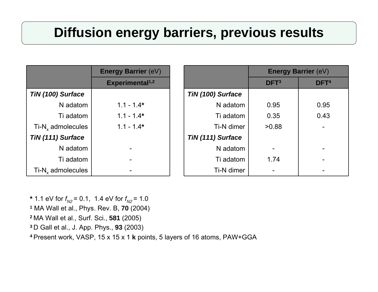# **Diffusion energy barriers, previous results**

|                               | <b>Energy Barrier (eV)</b>  |                   |                  | <b>Energy Barrier (eV)</b> |
|-------------------------------|-----------------------------|-------------------|------------------|----------------------------|
|                               | Experimental <sup>1,2</sup> |                   | DFT <sup>3</sup> | DFT <sup>4</sup>           |
| TiN (100) Surface             |                             | TiN (100) Surface |                  |                            |
| N adatom                      | $1.1 - 1.4*$                | N adatom          | 0.95             | 0.95                       |
| Ti adatom                     | $1.1 - 1.4*$                | Ti adatom         | 0.35             | 0.43                       |
| $Ti-Nx$ admolecules           | $1.1 - 1.4*$                | Ti-N dimer        | >0.88            | $\blacksquare$             |
| TiN (111) Surface             |                             | TiN (111) Surface |                  |                            |
| N adatom                      |                             | N adatom          |                  | $\blacksquare$             |
| Ti adatom                     |                             | Ti adatom         | 1.74             | $\blacksquare$             |
| Ti-N <sub>y</sub> admolecules |                             | Ti-N dimer        |                  |                            |

\* 1.1 eV for *f<sub>N2</sub>* = 0.1, 1.4 eV for *f<sub>N2</sub>* = 1.0 **<sup>1</sup>**MA Wall et al., Phys. Rev. B, **70** (2004) **<sup>2</sup>**MA Wall et al., Surf. Sci., **581** (2005)

**<sup>3</sup>**D Gall et al., J. App. Phys., **93** (2003)

**<sup>4</sup>**Present work, VASP, 15 x 15 x 1 **k** points, 5 layers of 16 atoms, PAW+GGA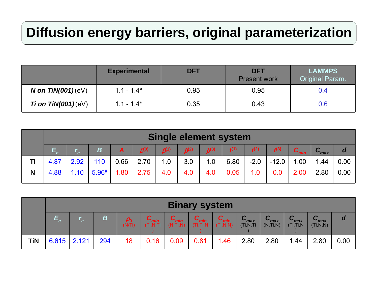# **Diffusion energy barriers, original parameterization**

|                      | <b>Experimental</b> | <b>DFT</b> | <b>DFT</b><br><b>Present work</b> | <b>LAMMPS</b><br>Original Param. |
|----------------------|---------------------|------------|-----------------------------------|----------------------------------|
| N on $TiN(001)(eV)$  | $1.1 - 1.4*$        | 0.95       | 0.95                              | 0.4                              |
| Ti on $TiN(001)(eV)$ | $1.1 - 1.4*$        | 0.35       | 0.43                              | $0.6\,$                          |

|    | <b>Single element system</b>                          |      |       |              |               |      |           |               |      |        |         |           |           |                |
|----|-------------------------------------------------------|------|-------|--------------|---------------|------|-----------|---------------|------|--------|---------|-----------|-----------|----------------|
|    | $\bm{\mathsf{E}}_{\scriptscriptstyle\bm{\mathsf{c}}}$ |      | B     | $\mathbf{A}$ | $\beta^{(0)}$ | 6(1) | $6^{(2)}$ | $\beta^{(3)}$ | f(1) | f(2)   | f(3)    | $C_{min}$ | $C_{max}$ | $\overline{d}$ |
| Τi | 4.87                                                  | 2.92 | 110   | 0.66         | 2.70          | 1.0  | 3.0       | 1.0           | 6.80 | $-2.0$ | $-12.0$ | 1.00      | 1.44      | 0.00           |
| N  | 4.88                                                  | 1.10 | 5.96# | 1.80         | 2.75          | 4.0  | 4.0       | 4.0           | 0.05 | 1.0    | $0.0\,$ | 2.00      | 2.80      | 0.00           |
|    |                                                       |      |       |              |               |      |           |               |      |        |         |           |           |                |

|            | <b>Binary system</b> |      |     |                             |      |                                         |      |            |                                 |                                              |                                          |                                |      |
|------------|----------------------|------|-----|-----------------------------|------|-----------------------------------------|------|------------|---------------------------------|----------------------------------------------|------------------------------------------|--------------------------------|------|
|            |                      | l el | B   | $\rho_{\text{o}}$<br>(N/Ti) |      | $\mathbf{v}_{\text{min}}$<br>(N, Ti, N) | ⌒    | (Ti, N, N) | $C_{\text{max}}$<br>(Ti, N, Ti) | r<br>$\mathbf{u}_{\text{max}}$<br>(N, Ti, N) | $\mathbf{u}_{\text{max}}$<br>(Ti, Ti, N) | $V_{\text{max}}$<br>(Ti, N, N) | a    |
| <b>TiN</b> | $6.615$   2.121      |      | 294 | 18                          | 0.16 | 0.09                                    | 0.81 | 1.46       | 2.80                            | 2.80                                         | 1.44                                     | 2.80                           | 0.00 |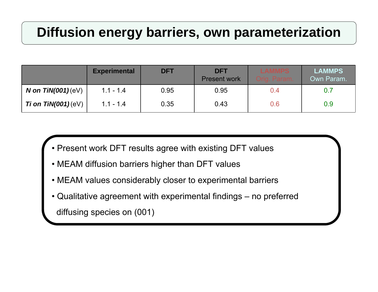# **Diffusion energy barriers, own parameterization**

|                            | <b>Experimental</b> | <b>DFT</b> | <b>DFT</b><br><b>Present work</b> | <b>LAMMPS</b><br>Orig. Param. | <b>LAMMPS</b><br>Own Param. |
|----------------------------|---------------------|------------|-----------------------------------|-------------------------------|-----------------------------|
| <i>N</i> on $TiN(001)(eV)$ | $1.1 - 1.4$         | 0.95       | 0.95                              | 0.4                           | 0.7                         |
| Ti on $TiN(001)(eV)$       | $1.1 - 1.4$         | 0.35       | 0.43                              | 0.6                           | 0.9                         |

- Present work DFT results agree with existing DFT values
- MEAM diffusion barriers higher than DFT values
- MEAM values considerably closer to experimental barriers
- Qualitative agreement with experimental findings no preferred

diffusing species on (001)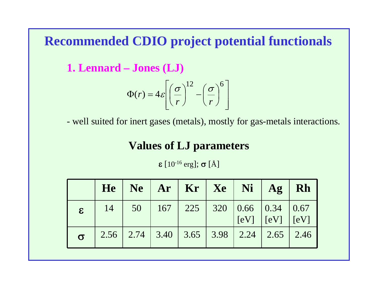## **Recommended CDIO project potential functionals**

**1. Lennard – Jones (LJ)**

$$
\Phi(r) = 4\varepsilon \left[ \left( \frac{\sigma}{r} \right)^{12} - \left( \frac{\sigma}{r} \right)^{6} \right]
$$

- well suited for inert gases (metals), mostly for gas-metals interactions.

## **Values of LJ parameters**

 $\pmb{\varepsilon} \, [10^{\text{-}16} \, \text{erg}]; \, \bm{\sigma} \, [\text{\AA}]$ 

|              |    |  |  | $He \mid Ne \mid Ar \mid Kr \mid Xe \mid Ni \mid Ag \mid Rh$                          |  |
|--------------|----|--|--|---------------------------------------------------------------------------------------|--|
| $\mathbf{g}$ | 14 |  |  | $50$   167   225   320   0.66   0.34   0.67<br>$\vert$ [eV] $\vert$ [eV] $\vert$ [eV] |  |
| $\sigma$     |    |  |  | $2.56$   2.74   3.40   3.65   3.98   2.24   2.65   2.46                               |  |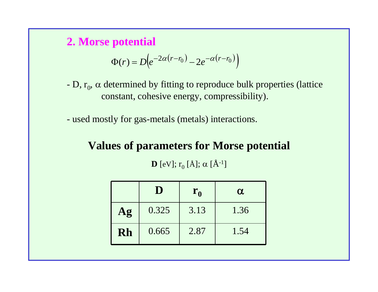**2. Morse potential**

$$
\Phi(r) = D\Big(e^{-2\alpha(r-r_0)} - 2e^{-\alpha(r-r_0)}\Big)
$$

- -D,  $r_0$ ,  $\alpha$  determined by fitting to reproduce bulk properties (lattice constant, cohesive energy, compressibility).
- used mostly for gas-metals (metals) interactions.

**Values of parameters for Morse potential D** [eV];  $r_0$  [Å];  $\alpha$  [Å<sup>-1</sup>]

|    | D     | $\mathbf{r}_{0}$ | $\alpha$ |
|----|-------|------------------|----------|
| Ag | 0.325 | 3.13             | 1.36     |
| Rh | 0.665 | 2.87             | 1.54     |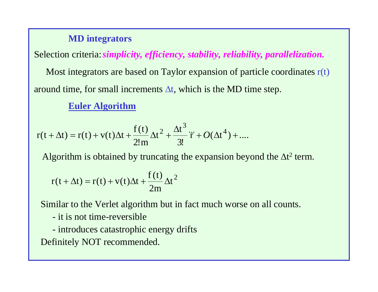#### **MD integrators**

Selection criteria: *simplicity, efficiency, stability, reliability, parallelization.* Most integrators are based on Taylor expansion of particle coordinates  $r(t)$ around time, for small increments  $\Delta t$ , which is the MD time step.

**Euler Algorithm**

$$
r(t + \Delta t) = r(t) + v(t)\Delta t + \frac{f(t)}{2!m}\Delta t^{2} + \frac{\Delta t^{3}}{3!}\ddot{r} + O(\Delta t^{4}) + \dots
$$

Algorithm is obtained by truncating the expansion beyond the  $\Delta t^2$  term.

$$
r(t + \Delta t) = r(t) + v(t)\Delta t + \frac{f(t)}{2m}\Delta t^2
$$

Similar to the Verlet algorithm but in fact much worse on all counts.

- it is not time-reversible
- introduces catastrophic energy drifts

Definitely NOT recommended.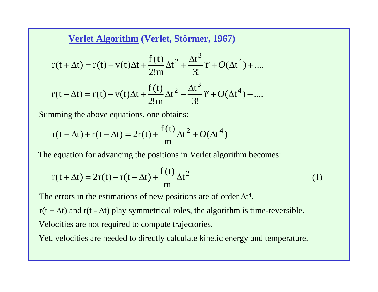**Verlet Algorithm (Verlet, Störmer, 1967)**

$$
r(t + \Delta t) = r(t) + v(t)\Delta t + \frac{f(t)}{2!m}\Delta t^{2} + \frac{\Delta t^{3}}{3!}\ddot{r} + O(\Delta t^{4}) + \dots
$$
  

$$
r(t - \Delta t) = r(t) - v(t)\Delta t + \frac{f(t)}{2!m}\Delta t^{2} - \frac{\Delta t^{3}}{3!}\ddot{r} + O(\Delta t^{4}) + \dots
$$

Summing the above equations, one obtains:

$$
r(t + \Delta t) + r(t - \Delta t) = 2r(t) + \frac{f(t)}{m} \Delta t^2 + O(\Delta t^4)
$$

The equation for advancing the positions in Verlet algorithm becomes:

$$
r(t + \Delta t) = 2r(t) - r(t - \Delta t) + \frac{f(t)}{m} \Delta t^{2}
$$
 (1)

The errors in the estimations of new positions are of order  $\Delta t^4$ .

 $r(t + \Delta t)$  and  $r(t - \Delta t)$  play symmetrical roles, the algorithm is time-reversible. Velocities are not required to compute trajectories.

Yet, velocities are needed to directly calculate kinetic energy and temperature.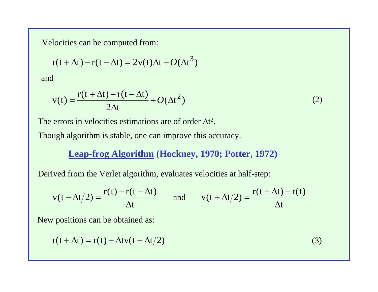Velocities can be computed from:

$$
r(t + \Delta t) - r(t - \Delta t) = 2v(t)\Delta t + O(\Delta t^{3})
$$

and

$$
v(t) = \frac{r(t + \Delta t) - r(t - \Delta t)}{2\Delta t} + O(\Delta t^2)
$$
 (2)

The errors in velocities estimations are of order  $\Delta t^2$ .

Though algorithm is stable, one can improve this accuracy.

#### **Leap-frog Algorithm (Hockney, 1970; Potter, 1972)**

Derived from the Verlet algorithm, evaluates velocities at half-step:

$$
v(t - \Delta t/2) = \frac{r(t) - r(t - \Delta t)}{\Delta t}
$$
 and 
$$
v(t + \Delta t/2) = \frac{r(t + \Delta t) - r(t)}{\Delta t}
$$

New positions can be obtained as:

$$
r(t + \Delta t) = r(t) + \Delta t v(t + \Delta t/2)
$$
\n(3)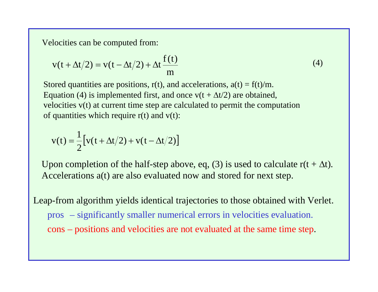Velocities can be computed from:

$$
v(t + \Delta t/2) = v(t - \Delta t/2) + \Delta t \frac{f(t)}{m}
$$
\n(4)

Stored quantities are positions,  $r(t)$ , and accelerations,  $a(t) = f(t)/m$ . Equation (4) is implemented first, and once  $v(t + \Delta t/2)$  are obtained, velocities v(t) at current time step are calculated to permit the computation of quantities which require  $r(t)$  and  $v(t)$ :

$$
v(t) = \frac{1}{2} \big[ v(t + \Delta t/2) + v(t - \Delta t/2) \big]
$$

Upon completion of the half-step above, eq, (3) is used to calculate  $r(t + \Delta t)$ . Accelerations a(t) are also evaluated now and stored for next step.

Leap-from algorithm yields identical trajectories to those obtained with Verlet. pros – significantly smaller numerical errors in velocities evaluation. cons – positions and velocities are not evaluated at the same time step.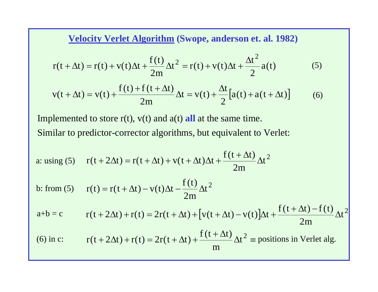**Velocity Verlet Algorithm (Swope, anderson et. al. 1982)**

$$
r(t + \Delta t) = r(t) + v(t)\Delta t + \frac{f(t)}{2m}\Delta t^{2} = r(t) + v(t)\Delta t + \frac{\Delta t^{2}}{2}a(t)
$$
 (5)

$$
v(t + \Delta t) = v(t) + \frac{f(t) + f(t + \Delta t)}{2m} \Delta t = v(t) + \frac{\Delta t}{2} [a(t) + a(t + \Delta t)]
$$
(6)

Implemented to store  $r(t)$ ,  $v(t)$  and  $a(t)$  all at the same time. Similar to predictor-corrector algorithms, but equivalent to Verlet:

a: using (5) 
$$
r(t + 2\Delta t) = r(t + \Delta t) + v(t + \Delta t)\Delta t + \frac{f(t + \Delta t)}{2m}\Delta t^2
$$

b: from (5) 
$$
r(t) = r(t + \Delta t) - v(t)\Delta t - \frac{f(t)}{2m}\Delta t^2
$$

$$
a+b = c \t r(t + 2\Delta t) + r(t) = 2r(t + \Delta t) + [v(t + \Delta t) - v(t)]\Delta t + \frac{f(t + \Delta t) - f(t)}{2m}\Delta t^{2}
$$

(6) in c:  $r(t + 2\Delta t) + r(t) = 2r(t + \Delta t) + \frac{f(t + \Delta t)}{\Delta t^2} =$  positions in Verlet alg. m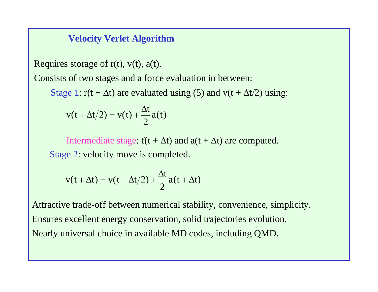#### **Velocity Verlet Algorithm**

Requires storage of  $r(t)$ ,  $v(t)$ ,  $a(t)$ .

Consists of two stages and a force evaluation in between:

Stage 1:  $r(t + \Delta t)$  are evaluated using (5) and v(t +  $\Delta t/2$ ) using:

$$
v(t + \Delta t/2) = v(t) + \frac{\Delta t}{2} a(t)
$$

Intermediate stage:  $f(t + \Delta t)$  and  $a(t + \Delta t)$  are computed. Stage 2: velocity move is completed.

$$
v(t + \Delta t) = v(t + \Delta t/2) + \frac{\Delta t}{2} a(t + \Delta t)
$$

Attractive trade-off between numerical stability, convenience, simplicity. Ensures excellent energy conservation, solid trajectories evolution. Nearly universal choice in available MD codes, including QMD.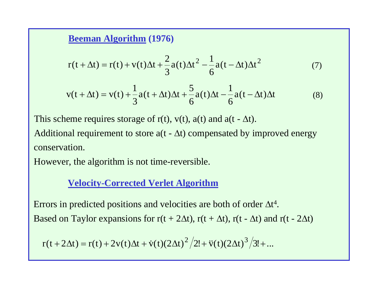#### **Beeman Algorithm (1976)**

$$
r(t + \Delta t) = r(t) + v(t)\Delta t + \frac{2}{3}a(t)\Delta t^{2} - \frac{1}{6}a(t - \Delta t)\Delta t^{2}
$$
 (7)

$$
v(t + \Delta t) = v(t) + \frac{1}{3}a(t + \Delta t)\Delta t + \frac{5}{6}a(t)\Delta t - \frac{1}{6}a(t - \Delta t)\Delta t
$$
 (8)

This scheme requires storage of  $r(t)$ ,  $v(t)$ ,  $a(t)$  and  $a(t - \Delta t)$ .

Additional requirement to store  $a(t - \Delta t)$  compensated by improved energy conservation.

However, the algorithm is not time-reversible.

### **Velocity-Corrected Verlet Algorithm**

Errors in predicted positions and velocities are both of order  $\Delta t^4$ . Based on Taylor expansions for  $r(t + 2\Delta t)$ ,  $r(t + \Delta t)$ ,  $r(t - \Delta t)$  and  $r(t - 2\Delta t)$ 

$$
r(t + 2\Delta t) = r(t) + 2v(t)\Delta t + \dot{v}(t)(2\Delta t)^{2}/2! + \ddot{v}(t)(2\Delta t)^{3}/3! + ...
$$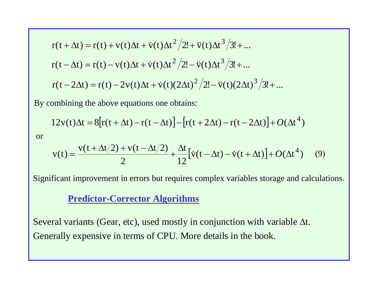$$
r(t + \Delta t) = r(t) + v(t)\Delta t + \dot{v}(t)\Delta t^{2}/2! + \ddot{v}(t)\Delta t^{3}/3! + ...
$$
  
\n
$$
r(t - \Delta t) = r(t) - v(t)\Delta t + \dot{v}(t)\Delta t^{2}/2! - \ddot{v}(t)\Delta t^{3}/3! + ...
$$
  
\n
$$
r(t - 2\Delta t) = r(t) - 2v(t)\Delta t + \dot{v}(t)(2\Delta t)^{2}/2! - \ddot{v}(t)(2\Delta t)^{3}/3! + ...
$$

By combining the above equations one obtains:

$$
12v(t)\Delta t = 8[r(t+\Delta t)-r(t-\Delta t)]-[r(t+2\Delta t)-r(t-2\Delta t)]+O(\Delta t^4)
$$

or

$$
v(t) = \frac{v(t + \Delta t/2) + v(t - \Delta t/2)}{2} + \frac{\Delta t}{12} [ \dot{v}(t - \Delta t) - \dot{v}(t + \Delta t) ] + O(\Delta t^4)
$$
(9)

Significant improvement in errors but requires complex variables storage and calculations.

#### **Predictor-Corrector Algorithms**

Several variants (Gear, etc), used mostly in conjunction with variable  $\Delta t.$ Generally expensive in terms of CPU. More details in the book.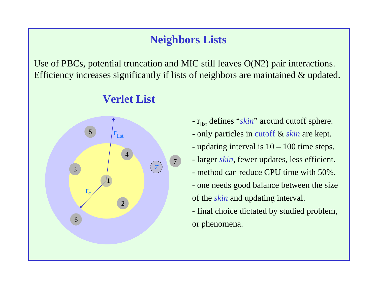## **Neighbors Lists**

Use of PBCs, potential truncation and MIC still leaves O(N2) pair interactions. Efficiency increases significantly if lists of neighbors are maintained & updated.

## **Verlet List**



- r<sub>list</sub> defines "*skin*" around cutoff sphere. - only particles in cutoff & *skin* are kept. - updating interval is  $10 - 100$  time steps. - larger *skin*, fewer updates, less efficient. - method can reduce CPU time with 50%. - one needs good balance between the size of the *skin* and updating interval. - final choice dictated by studied problem,

or phenomena.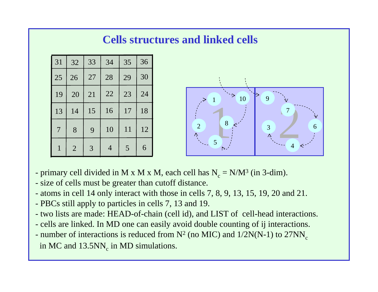## **Cells structures and linked cells**





- primary cell divided in M x M x M, each cell has  $N_c = N/M^3$  (in 3-dim).
- size of cells must be greater than cutoff distance.
- atoms in cell 14 only interact with those in cells 7, 8, 9, 13, 15, 19, 20 and 21.
- PBCs still apply to particles in cells 7, 13 and 19.
- two lists are made: HEAD-of-chain (cell id), and LIST of cell-head interactions.
- cells are linked. In MD one can easily avoid double counting of ij interactions.
- number of interactions is reduced from  $N^2$  (no MIC) and  $1/2N(N-1)$  to  $27NN_c$ in MC and  $13.5NN_c$  in MD simulations.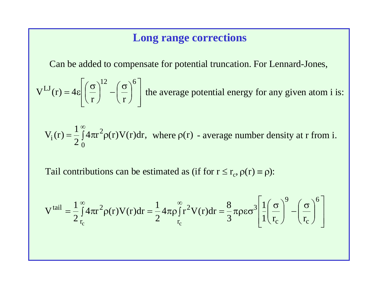## **Long range corrections**

Can be added to compensate for potential truncation. For Lennard-Jones,

the average potential energy for any given atom i is:  $\overline{\phantom{a}}$  $\overline{\phantom{a}}$  $\overline{\phantom{a}}$  $\left[\left(\frac{\sigma}{2}\right)^{12} - \left(\frac{\sigma}{2}\right)\right]$  $\int$  $\begin{pmatrix} 0 \ 0 \end{pmatrix}$  $\setminus$  $\bigg)^{12} - \bigg(\frac{\sigma}{\sigma}$  $\int$  $\begin{pmatrix} 0 \ 0 \end{pmatrix}$  $\setminus$  $=4\varepsilon\left(\frac{\sigma}{\sigma}\right)$  $\begin{bmatrix} \mathbf{L} \mathbf{J} & \mathbf{L} \end{bmatrix} \begin{bmatrix} \mathbf{\sigma} \end{bmatrix}^{12} \begin{bmatrix} \mathbf{\sigma} \end{bmatrix}^{6}$ r r  $V^{LJ}(r) = 4$ 

 $4\pi r^2 \rho(r) V(r)$  $\frac{1}{2}\int_{0}^{1}4\pi r^{2}\rho(r)V(r)dr,$  $V_i(r) = \frac{1}{2}$ 0 $I_i(r) = \frac{1}{2} \int 4\pi r^2 \rho$  $\int_0^\infty 4\pi r^2 \rho(r) V(r) dr$ , where  $\rho(r)$  - average number density at r from i.

Tail contributions can be estimated as (if for  $r \le r_c$ ,  $\rho(r) \equiv \rho$ ):

$$
Vtail = \frac{1}{2} \int_{r_c}^{\infty} 4\pi r^2 \rho(r) V(r) dr = \frac{1}{2} 4\pi \rho \int_{r_c}^{\infty} r^2 V(r) dr = \frac{8}{3} \pi \rho \epsilon \sigma^3 \left[ \frac{1}{1} \left( \frac{\sigma}{r_c} \right)^9 - \left( \frac{\sigma}{r_c} \right)^6 \right]
$$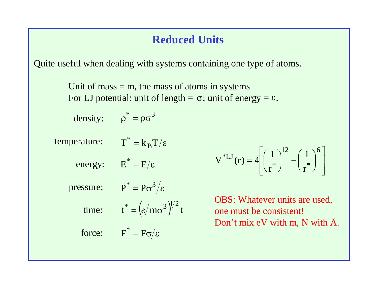## **Reduced Units**

Quite useful when dealing with systems containing one type of atoms.

Unit of mass  $=$  m, the mass of atoms in systems For LJ potential: unit of length =  $\sigma$ ; unit of energy =  $\varepsilon$ .

density: 
$$
\rho^* = \rho \sigma^3
$$

temperature:  $\overline{\mathrm{T}}^* = \mathrm{k_B T}/\varepsilon$ 

energy:  $E^* = E/\varepsilon$ 

pressure:

$$
P^* = P\sigma^3/\epsilon
$$

time:

$$
t^* = \left(\varepsilon / m \sigma^3\right)^{1/2} t
$$

force:  $F^* = F\sigma/\varepsilon$ 

 $V^{*LJ}(r) = 4 \left| \left( \frac{1}{r^{*}} \right)^{12} - \left( \frac{1}{r^{*}} \right)^{6} \right|$ 

OBS: Whatever units are used, one must be consistent! Don't mix eV with m, N with Å.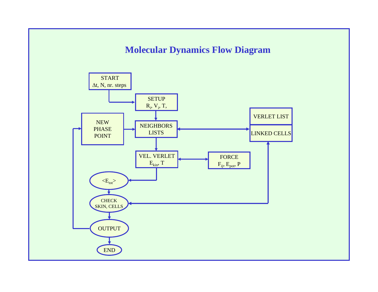### **Molecular Dynamics Flow Diagram**

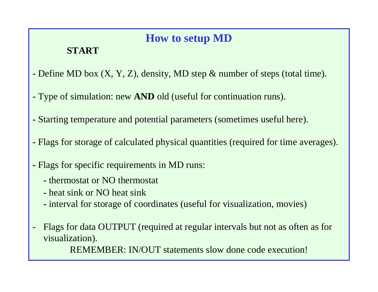## **How to setup MD**

## **START**

- Define MD box (X, Y, Z), density, MD step & number of steps (total time).
- Type of simulation: new **AND** old (useful for continuation runs).
- Starting temperature and potential parameters (sometimes useful here).
- Flags for storage of calculated physical quantities (required for time averages).
- Flags for specific requirements in MD runs:
	- thermostat or NO thermostat
	- heat sink or NO heat sink
	- interval for storage of coordinates (useful for visualization, movies)
- Flags for data OUTPUT (required at regular intervals but not as often as for visualization).

REMEMBER: IN/OUT statements slow done code execution!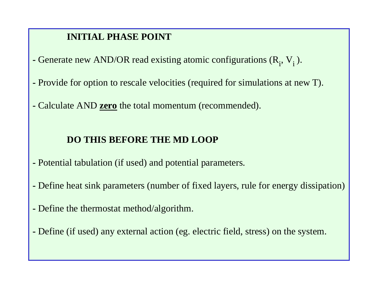### **INITIAL PHASE POINT**

- **-** Generate new AND/OR read existing atomic configurations  $(R_i, V_i)$ .
- Provide for option to rescale velocities (required for simulations at new T).
- Calculate AND **zero** the total momentum (recommended).

### **DO THIS BEFORE THE MD LOOP**

- Potential tabulation (if used) and potential parameters.
- Define heat sink parameters (number of fixed layers, rule for energy dissipation)
- Define the thermostat method/algorithm.
- Define (if used) any external action (eg. electric field, stress) on the system.